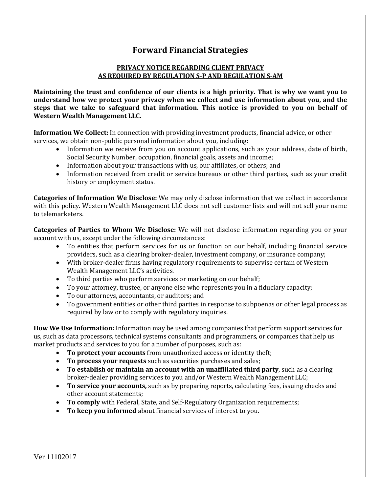## **Forward Financial Strategies**

## **PRIVACY NOTICE REGARDING CLIENT PRIVACY AS REQUIRED BY REGULATION S-P AND REGULATION S-AM**

**Maintaining the trust and confidence of our clients is a high priority. That is why we want you to understand how we protect your privacy when we collect and use information about you, and the steps that we take to safeguard that information. This notice is provided to you on behalf of Western Wealth Management LLC.**

**Information We Collect:** In connection with providing investment products, financial advice, or other services, we obtain non-public personal information about you, including:

- Information we receive from you on account applications, such as your address, date of birth, Social Security Number, occupation, financial goals, assets and income;
- Information about your transactions with us, our affiliates, or others; and
- Information received from credit or service bureaus or other third parties, such as your credit history or employment status.

**Categories of Information We Disclose:** We may only disclose information that we collect in accordance with this policy. Western Wealth Management LLC does not sell customer lists and will not sell your name to telemarketers.

**Categories of Parties to Whom We Disclose:** We will not disclose information regarding you or your account with us, except under the following circumstances:

- To entities that perform services for us or function on our behalf, including financial service providers, such as a clearing broker-dealer, investment company, or insurance company;
- With broker-dealer firms having regulatory requirements to supervise certain of Western Wealth Management LLC's activities.
- To third parties who perform services or marketing on our behalf;
- To your attorney, trustee, or anyone else who represents you in a fiduciary capacity;
- To our attorneys, accountants, or auditors; and
- To government entities or other third parties in response to subpoenas or other legal process as required by law or to comply with regulatory inquiries.

**How We Use Information:** Information may be used among companies that perform support services for us, such as data processors, technical systems consultants and programmers, or companies that help us market products and services to you for a number of purposes, such as:

- **To protect your accounts** from unauthorized access or identity theft;
- **To process your requests** such as securities purchases and sales;
- **To establish or maintain an account with an unaffiliated third party**, such as a clearing broker-dealer providing services to you and/or Western Wealth Management LLC;
- **To service your accounts,** such as by preparing reports, calculating fees, issuing checks and other account statements;
- **To comply** with Federal, State, and Self-Regulatory Organization requirements;
- **To keep you informed** about financial services of interest to you.